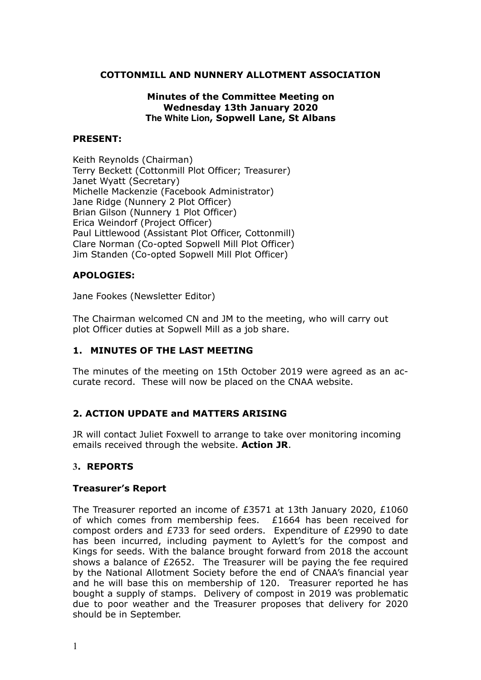### **COTTONMILL AND NUNNERY ALLOTMENT ASSOCIATION**

#### **Minutes of the Committee Meeting on Wednesday 13th January 2020 The White Lion, Sopwell Lane, St Albans**

#### **PRESENT:**

Keith Reynolds (Chairman) Terry Beckett (Cottonmill Plot Officer; Treasurer) Janet Wyatt (Secretary) Michelle Mackenzie (Facebook Administrator) Jane Ridge (Nunnery 2 Plot Officer) Brian Gilson (Nunnery 1 Plot Officer) Erica Weindorf (Project Officer) Paul Littlewood (Assistant Plot Officer, Cottonmill) Clare Norman (Co-opted Sopwell Mill Plot Officer) Jim Standen (Co-opted Sopwell Mill Plot Officer)

# **APOLOGIES:**

Jane Fookes (Newsletter Editor)

The Chairman welcomed CN and JM to the meeting, who will carry out plot Officer duties at Sopwell Mill as a job share.

# **1. MINUTES OF THE LAST MEETING**

The minutes of the meeting on 15th October 2019 were agreed as an accurate record. These will now be placed on the CNAA website.

# **2. ACTION UPDATE and MATTERS ARISING**

JR will contact Juliet Foxwell to arrange to take over monitoring incoming emails received through the website. **Action JR**.

#### **3. REPORTS**

#### **Treasurer's Report**

The Treasurer reported an income of £3571 at 13th January 2020, £1060 of which comes from membership fees. £1664 has been received for compost orders and £733 for seed orders. Expenditure of £2990 to date has been incurred, including payment to Aylett's for the compost and Kings for seeds. With the balance brought forward from 2018 the account shows a balance of £2652. The Treasurer will be paying the fee required by the National Allotment Society before the end of CNAA's financial year and he will base this on membership of 120. Treasurer reported he has bought a supply of stamps. Delivery of compost in 2019 was problematic due to poor weather and the Treasurer proposes that delivery for 2020 should be in September.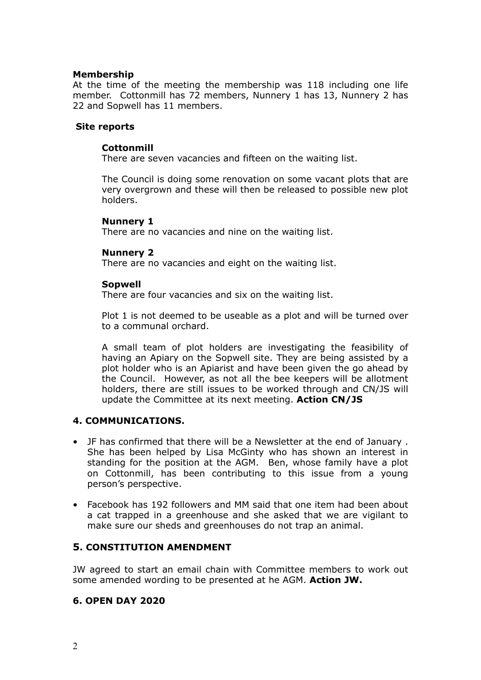#### **Membership**

At the time of the meeting the membership was 118 including one life member. Cottonmill has 72 members, Nunnery 1 has 13, Nunnery 2 has 22 and Sopwell has 11 members.

#### **Site reports**

#### **Cottonmill**

There are seven vacancies and fifteen on the waiting list.

The Council is doing some renovation on some vacant plots that are very overgrown and these will then be released to possible new plot holders.

#### **Nunnery 1**

There are no vacancies and nine on the waiting list.

#### **Nunnery 2**

There are no vacancies and eight on the waiting list.

#### **Sopwell**

There are four vacancies and six on the waiting list.

Plot 1 is not deemed to be useable as a plot and will be turned over to a communal orchard.

A small team of plot holders are investigating the feasibility of having an Apiary on the Sopwell site. They are being assisted by a plot holder who is an Apiarist and have been given the go ahead by the Council. However, as not all the bee keepers will be allotment holders, there are still issues to be worked through and CN/JS will update the Committee at its next meeting. **Action CN/JS**

#### **4. COMMUNICATIONS.**

- JF has confirmed that there will be a Newsletter at the end of January . She has been helped by Lisa McGinty who has shown an interest in standing for the position at the AGM. Ben, whose family have a plot on Cottonmill, has been contributing to this issue from a young person's perspective.
- Facebook has 192 followers and MM said that one item had been about a cat trapped in a greenhouse and she asked that we are vigilant to make sure our sheds and greenhouses do not trap an animal.

#### **5. CONSTITUTION AMENDMENT**

JW agreed to start an email chain with Committee members to work out some amended wording to be presented at he AGM. **Action JW.**

#### **6. OPEN DAY 2020**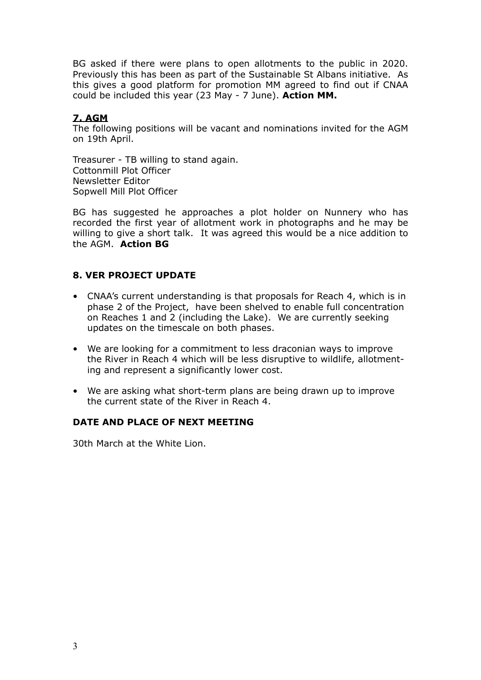BG asked if there were plans to open allotments to the public in 2020. Previously this has been as part of the Sustainable St Albans initiative. As this gives a good platform for promotion MM agreed to find out if CNAA could be included this year (23 May - 7 June). **Action MM.**

# **7. AGM**

The following positions will be vacant and nominations invited for the AGM on 19th April.

Treasurer - TB willing to stand again. Cottonmill Plot Officer Newsletter Editor Sopwell Mill Plot Officer

BG has suggested he approaches a plot holder on Nunnery who has recorded the first year of allotment work in photographs and he may be willing to give a short talk. It was agreed this would be a nice addition to the AGM. **Action BG**

# **8. VER PROJECT UPDATE**

- CNAA's current understanding is that proposals for Reach 4, which is in phase 2 of the Project, have been shelved to enable full concentration on Reaches 1 and 2 (including the Lake). We are currently seeking updates on the timescale on both phases.
- We are looking for a commitment to less draconian ways to improve the River in Reach 4 which will be less disruptive to wildlife, allotmenting and represent a significantly lower cost.
- We are asking what short-term plans are being drawn up to improve the current state of the River in Reach 4.

# **DATE AND PLACE OF NEXT MEETING**

30th March at the White Lion.